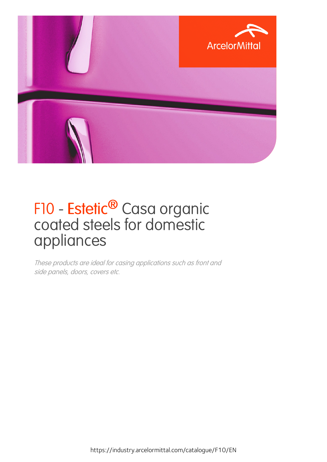

### F10 - Estetic<sup>®</sup> Casa organic coated steels for domestic appliances

These products are ideal for casing applications such as front and side panels, doors, covers etc.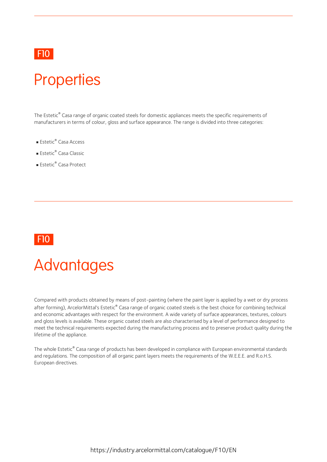#### F10 **F10 F10 F10**

### **Properties**

The Estetic® Casa range of organic coated steels for domestic appliances meets the specific requirements of manufacturers in terms of colour, gloss and surface appearance. The range is divided into three categories:

- Estetic ® Casa Access
- Estetic ® Casa Classic
- Estetic ® Casa Protect

#### F10

### **Advantages**

Compared with products obtained by means of post-painting (where the paint layer is applied by a wet or dry process after forming), ArcelorMittal's Estetic ® Casa range of organic coated steels is the best choice for combining technical and economic advantages with respect for the environment. A wide variety of surface appearances, textures, colours and gloss levels is available. These organic coated steels are also characterised by a level of performance designed to meet the technical requirements expected during the manufacturing process and to preserve product quality during the lifetime of the appliance.

The whole Estetic ® Casa range of products has been developed in compliance with European environmental standards and regulations. The composition of all organic paint layers meets the requirements of the W.E.E.E. and R.o.H.S. European directives.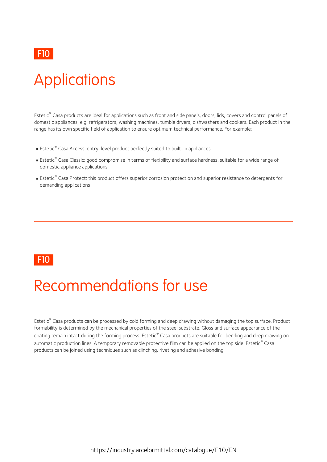#### F10 **F10 F10 F10**

# **Applications**

Estetic ® Casa products are ideal forapplications such as front and side panels, doors, lids, covers and control panels of domestic appliances, e.g. refrigerators, washing machines, tumble dryers, dishwashers and cookers. Each product in the range has its own specific field of application to ensure optimum technical performance. For example:

- Estetic ® Casa Access: entry-level product perfectly suited to built-in appliances
- Estetic ® Casa Classic: good compromise in terms offlexibility and surface hardness, suitable for a wide range of domestic appliance applications
- Estetic ® Casa Protect: this product offers superior corrosion protection and superior resistance to detergents for demanding applications

#### F10 **F10 F10 F10**

### Recommendations for use

Estetic ® Casa products can be processed by cold forming and deep drawing without damaging the top surface. Product formability is determined by the mechanical properties of the steel substrate. Gloss and surface appearance of the coating remain intact during the forming process. Estetic® Casa products are suitable for bending and deep drawing on automatic production lines. A temporary removable protective film can be applied on the top side. Estetic ® Casa products can be joined using techniques such as clinching, riveting and adhesive bonding.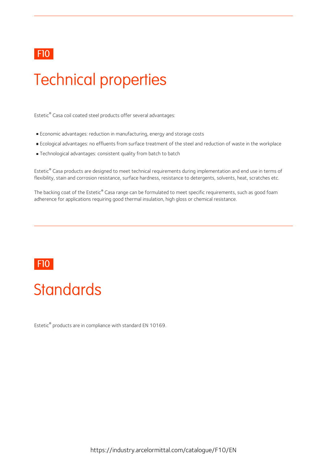#### F10 **F10 F10 F10**

# Technical properties

Estetic ® Casa coil coated steel products offer several advantages:

- Economic advantages: reduction in manufacturing, energy and storage costs
- Ecological advantages: no effluents from surface treatment of the steel and reduction of waste in the workplace
- Technological advantages: consistent quality from batch to batch

Estetic ® Casa products are designed to meet technical requirements during implementation and end use in terms of flexibility, stain and corrosion resistance, surface hardness, resistance to detergents, solvents, heat, scratches etc.

The backing coat of the Estetic® Casa range can be formulated to meet specific requirements, such as good foam adherence for applications requiring good thermal insulation, high gloss or chemical resistance.

#### F10 **F10 F10 F10**

### **Standards**

Estetic ® products are in compliance with standard EN 10169.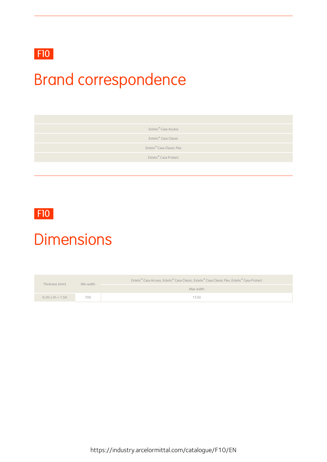### F10

# Brand correspondence

Estetic ® Casa Access

Estetic ® Casa Classic

Estetic ® Casa Classic Flex

Estetic ® Casa Protect

#### F10 **F10 F10 F10**

### **Dimensions**

| Thickness (mm)           | Min width | Estetic® Casa Access, Estetic® Casa Classic, Estetic® Casa Classic Flex, Estetic® Casa Protect |  |  |  |
|--------------------------|-----------|------------------------------------------------------------------------------------------------|--|--|--|
|                          |           | Max width                                                                                      |  |  |  |
| $0.20 \leq th \leq 1.50$ | 700       | 1530                                                                                           |  |  |  |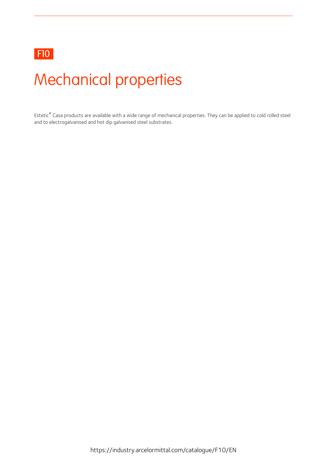#### F10

# Mechanical properties

Estetic ® Casa products are available with a wide range of mechanical properties. They can be applied to cold rolled steel and to electrogalvanised and hot dip galvanised steel substrates.